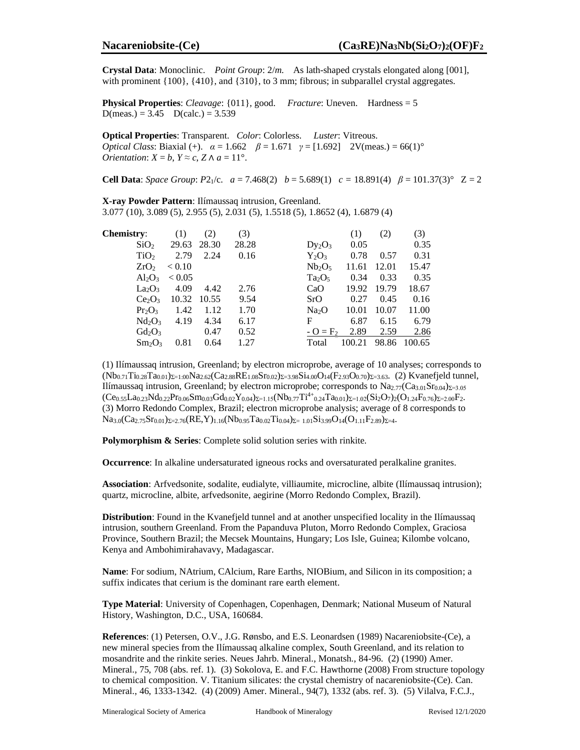Crystal Data: Monoclinic. Point Group: 2/m. As lath-shaped crystals elongated along [001], with prominent  $\{100\}$ ,  $\{410\}$ , and  $\{310\}$ , to 3 mm; fibrous; in subparallel crystal aggregates.

**Physical Properties:** Cleavage:  $\{011\}$ , good. Fracture: Uneven. Hardness = 5  $D(meas.) = 3.45$   $D(calc.) = 3.539$ 

Optical Properties: Transparent. Color: Colorless. Luster: Vitreous. *Optical Class:* Biaxial (+).  $\alpha = 1.662$   $\beta = 1.671$   $\gamma = [1.692]$  2V(meas.) = 66(1)<sup>o</sup> *Orientation:*  $X = b$ ,  $Y \approx c$ ,  $Z \wedge a = 11^{\circ}$ .

**Cell Data:** Space Group: P2<sub>1</sub>/c.  $a = 7.468(2)$   $b = 5.689(1)$   $c = 18.891(4)$   $\beta = 101.37(3)$ °  $Z = 2$ 

X-ray Powder Pattern: Ilímaussaq intrusion, Greenland. 3.077 (10), 3.089 (5), 2.955 (5), 2.031 (5), 1.5518 (5), 1.8652 (4), 1.6879 (4)

| <b>Chemistry:</b>              | (1)           | (2)   | (3)   |                                | (1)    | (2)   | (3)    |
|--------------------------------|---------------|-------|-------|--------------------------------|--------|-------|--------|
| SiO <sub>2</sub>               | 29.63         | 28.30 | 28.28 | $Dy_2O_3$                      | 0.05   |       | 0.35   |
| TiO <sub>2</sub>               | 2.79          | 2.24  | 0.16  | $Y_2O_3$                       | 0.78   | 0.57  | 0.31   |
| ZrO <sub>2</sub>               | < 0.10        |       |       | Nb <sub>2</sub> O <sub>5</sub> | 11.61  | 12.01 | 15.47  |
| $Al_2O_3$                      | ${}_{< 0.05}$ |       |       | $Ta_2O_5$                      | 0.34   | 0.33  | 0.35   |
| $La_2O_3$                      | 4.09          | 4.42  | 2.76  | CaO                            | 19.92  | 19.79 | 18.67  |
| Ce <sub>2</sub> O <sub>3</sub> | 10.32         | 10.55 | 9.54  | SrO                            | 0.27   | 0.45  | 0.16   |
| $Pr_2O_3$                      | 1.42          | 1.12  | 1.70  | Na <sub>2</sub> O              | 10.01  | 10.07 | 11.00  |
| $Nd_2O_3$                      | 4.19          | 4.34  | 6.17  | F                              | 6.87   | 6.15  | 6.79   |
| $Gd_2O_3$                      |               | 0.47  | 0.52  | $- O = F_2$                    | 2.89   | 2.59  | 2.86   |
| $Sm_2O_3$                      | 0.81          | 0.64  | 1.27  | Total                          | 100.21 | 98.86 | 100.65 |

(1) Ilímaussaq intrusion, Greenland; by electron microprobe, average of 10 analyses; corresponds to  $(Nb_{0.71}Ti_{0.28}Ta_{0.01})_{\Sigma=1.00}Na_{2.62}(Ca_{2.88}RE_{1.08}Sr_{0.02})_{\Sigma=3.98}Si_{4.00}O_{14}(F_{2.93}O_{0.70})_{\Sigma=3.63}$ . (2) Kvanefjeld tunnel, Ilímaussag intrusion, Greenland; by electron microprobe; corresponds to Na<sub>2.77</sub>(Ca<sub>3.01</sub>Sr<sub>0.04</sub>)<sub> $\Sigma$ =3.05</sub>  $(Ce_{0.55}La_{0.23}Nd_{0.22}Pr_{0.06}Sm_{0.03}Gd_{0.02}Y_{0.04})_{\Sigma=1.15}(Nb_{0.77}Ti^{4+}_{0.24}Ta_{0.01})_{\Sigma=1.02}(Si_2O_7)_2(O_{1.24}F_{0.76})_{\Sigma=2.00}F_2.$ (3) Morro Redondo Complex, Brazil; electron microprobe analysis; average of 8 corresponds to  $Na_{3.0}(Ca_{2.75}Sr_{0.01})_{\Sigma=2.76}(RE,Y)_{1.16}(Nb_{0.95}Ta_{0.02}Ti_{0.04})_{\Sigma=1.01}Si_{3.99}O_{14}(O_{1.11}F_{2.89})_{\Sigma=4}$ 

Polymorphism & Series: Complete solid solution series with rinkite.

Occurrence: In alkaline undersaturated igneous rocks and oversaturated peralkaline granites.

Association: Arfvedsonite, sodalite, eudialyte, villiaumite, microcline, albite (Ilímaussaq intrusion); quartz, microcline, albite, arfvedsonite, aegirine (Morro Redondo Complex, Brazil).

**Distribution:** Found in the Kvanefield tunnel and at another unspecified locality in the Ilímaussag intrusion, southern Greenland. From the Papanduva Pluton, Morro Redondo Complex, Graciosa Province, Southern Brazil; the Mecsek Mountains, Hungary; Los Isle, Guinea; Kilombe volcano, Kenya and Ambohimirahavavy, Madagascar.

Name: For sodium, NAtrium, CAlcium, Rare Earths, NIOBium, and Silicon in its composition; a suffix indicates that cerium is the dominant rare earth element.

Type Material: University of Copenhagen, Copenhagen, Denmark; National Museum of Natural History, Washington, D.C., USA, 160684.

References: (1) Petersen, O.V., J.G. Rønsbo, and E.S. Leonardsen (1989) Nacareniobsite-(Ce), a new mineral species from the Ilímaussaq alkaline complex, South Greenland, and its relation to mosandrite and the rinkite series. Neues Jahrb. Mineral., Monatsh., 84-96. (2) (1990) Amer. Mineral., 75, 708 (abs. ref. 1). (3) Sokolova, E. and F.C. Hawthorne (2008) From structure topology to chemical composition. V. Titanium silicates: the crystal chemistry of nacareniobsite-(Ce). Can. Mineral., 46, 1333-1342. (4) (2009) Amer. Mineral., 94(7), 1332 (abs. ref. 3). (5) Vilalva, F.C.J.,